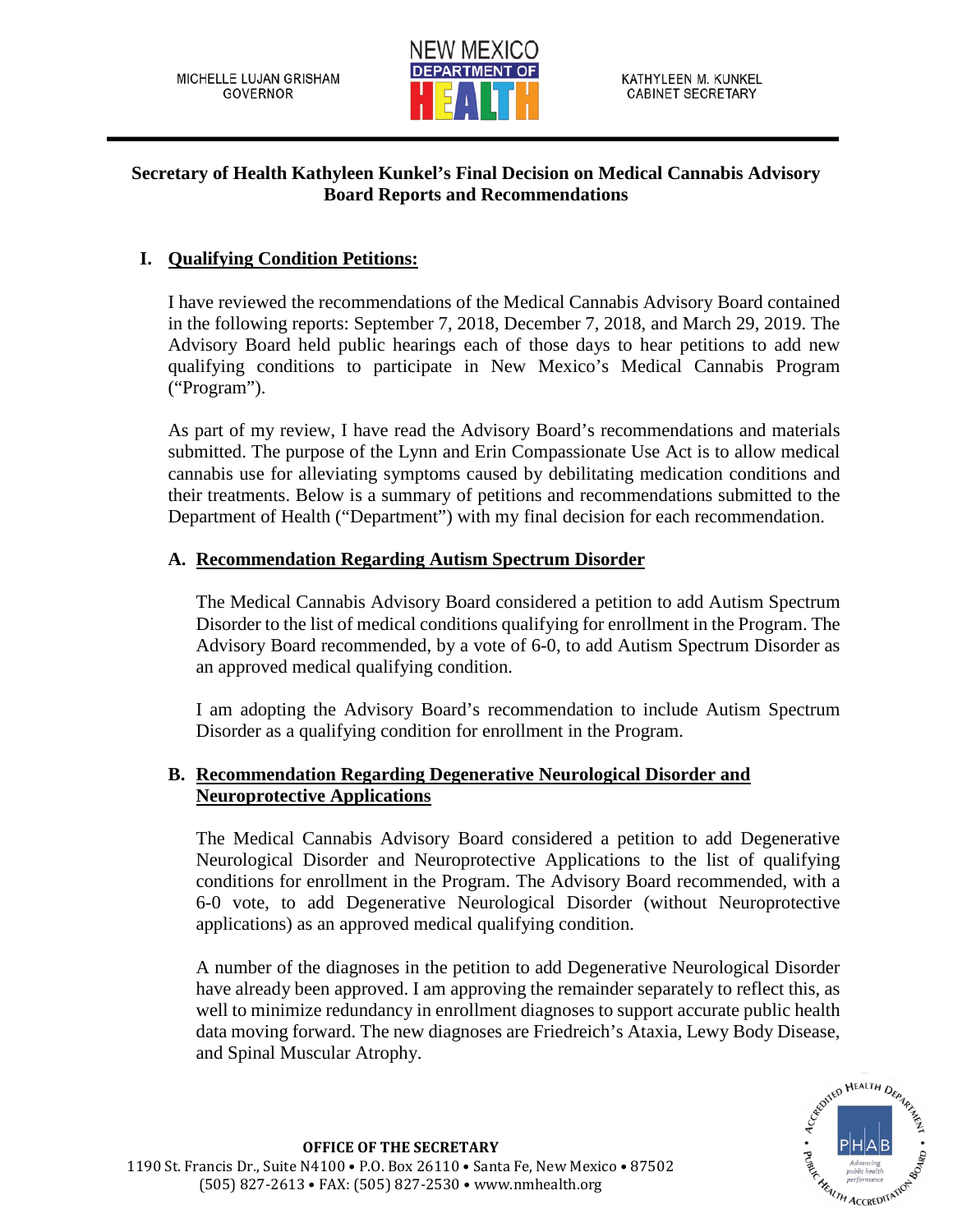

# **Secretary of Health Kathyleen Kunkel's Final Decision on Medical Cannabis Advisory Board Reports and Recommendations**

# **I. Qualifying Condition Petitions:**

I have reviewed the recommendations of the Medical Cannabis Advisory Board contained in the following reports: September 7, 2018, December 7, 2018, and March 29, 2019. The Advisory Board held public hearings each of those days to hear petitions to add new qualifying conditions to participate in New Mexico's Medical Cannabis Program ("Program").

As part of my review, I have read the Advisory Board's recommendations and materials submitted. The purpose of the Lynn and Erin Compassionate Use Act is to allow medical cannabis use for alleviating symptoms caused by debilitating medication conditions and their treatments. Below is a summary of petitions and recommendations submitted to the Department of Health ("Department") with my final decision for each recommendation.

# **A. Recommendation Regarding Autism Spectrum Disorder**

The Medical Cannabis Advisory Board considered a petition to add Autism Spectrum Disorder to the list of medical conditions qualifying for enrollment in the Program. The Advisory Board recommended, by a vote of 6-0, to add Autism Spectrum Disorder as an approved medical qualifying condition.

I am adopting the Advisory Board's recommendation to include Autism Spectrum Disorder as a qualifying condition for enrollment in the Program.

# **B. Recommendation Regarding Degenerative Neurological Disorder and Neuroprotective Applications**

The Medical Cannabis Advisory Board considered a petition to add Degenerative Neurological Disorder and Neuroprotective Applications to the list of qualifying conditions for enrollment in the Program. The Advisory Board recommended, with a 6-0 vote, to add Degenerative Neurological Disorder (without Neuroprotective applications) as an approved medical qualifying condition.

A number of the diagnoses in the petition to add Degenerative Neurological Disorder have already been approved. I am approving the remainder separately to reflect this, as well to minimize redundancy in enrollment diagnoses to support accurate public health data moving forward. The new diagnoses are Friedreich's Ataxia, Lewy Body Disease, and Spinal Muscular Atrophy.

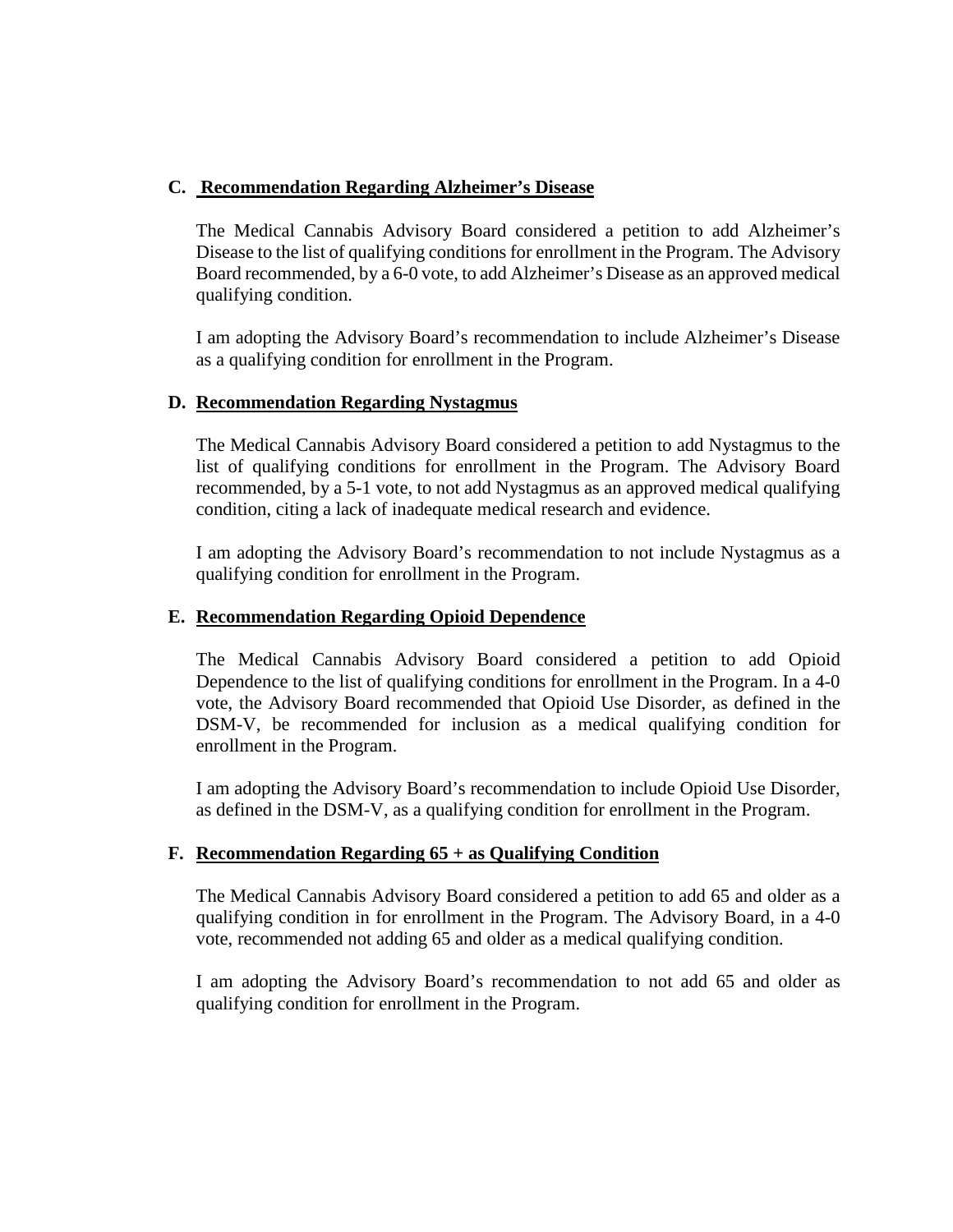### **C. Recommendation Regarding Alzheimer's Disease**

The Medical Cannabis Advisory Board considered a petition to add Alzheimer's Disease to the list of qualifying conditions for enrollment in the Program. The Advisory Board recommended, by a 6-0 vote, to add Alzheimer's Disease as an approved medical qualifying condition.

I am adopting the Advisory Board's recommendation to include Alzheimer's Disease as a qualifying condition for enrollment in the Program.

### **D. Recommendation Regarding Nystagmus**

The Medical Cannabis Advisory Board considered a petition to add Nystagmus to the list of qualifying conditions for enrollment in the Program. The Advisory Board recommended, by a 5-1 vote, to not add Nystagmus as an approved medical qualifying condition, citing a lack of inadequate medical research and evidence.

I am adopting the Advisory Board's recommendation to not include Nystagmus as a qualifying condition for enrollment in the Program.

#### **E. Recommendation Regarding Opioid Dependence**

The Medical Cannabis Advisory Board considered a petition to add Opioid Dependence to the list of qualifying conditions for enrollment in the Program. In a 4-0 vote, the Advisory Board recommended that Opioid Use Disorder, as defined in the DSM-V, be recommended for inclusion as a medical qualifying condition for enrollment in the Program.

I am adopting the Advisory Board's recommendation to include Opioid Use Disorder, as defined in the DSM-V, as a qualifying condition for enrollment in the Program.

# **F. Recommendation Regarding 65 + as Qualifying Condition**

The Medical Cannabis Advisory Board considered a petition to add 65 and older as a qualifying condition in for enrollment in the Program. The Advisory Board, in a 4-0 vote, recommended not adding 65 and older as a medical qualifying condition.

I am adopting the Advisory Board's recommendation to not add 65 and older as qualifying condition for enrollment in the Program.